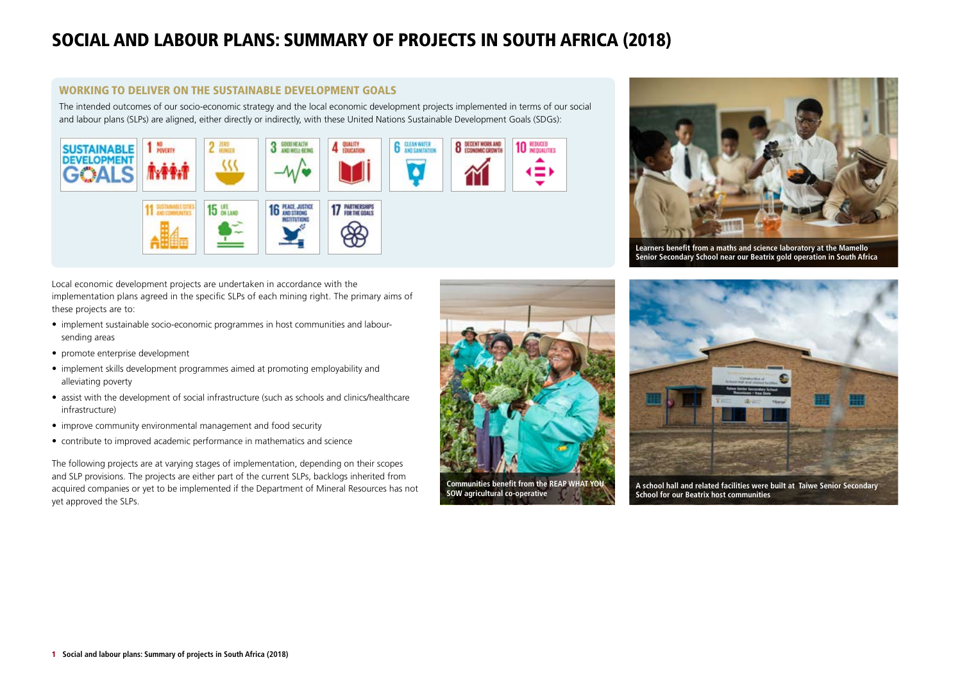# SOCIAL AND LABOUR PLANS: SUMMARY OF PROJECTS IN SOUTH AFRICA (2018)

#### WORKING TO DELIVER ON THE SUSTAINABLE DEVELOPMENT GOALS

The intended outcomes of our socio-economic strategy and the local economic development projects implemented in terms of our social and labour plans (SLPs) are aligned, either directly or indirectly, with these United Nations Sustainable Development Goals (SDGs):



**Learners benefit from a maths and science laboratory at the Mamello Senior Secondary School near our Beatrix gold operation in South Africa**

Local economic development projects are undertaken in accordance with the implementation plans agreed in the specific SLPs of each mining right. The primary aims of these projects are to:

- implement sustainable socio-economic programmes in host communities and laboursending areas
- promote enterprise development
- implement skills development programmes aimed at promoting employability and alleviating poverty
- assist with the development of social infrastructure (such as schools and clinics/healthcare infrastructure)
- improve community environmental management and food security
- contribute to improved academic performance in mathematics and science

The following projects are at varying stages of implementation, depending on their scopes and SLP provisions. The projects are either part of the current SLPs, backlogs inherited from acquired companies or yet to be implemented if the Department of Mineral Resources has not yet approved the SLPs.





**A school hall and related facilities were built at Taiwe Senior Secondary School for our Beatrix host communities**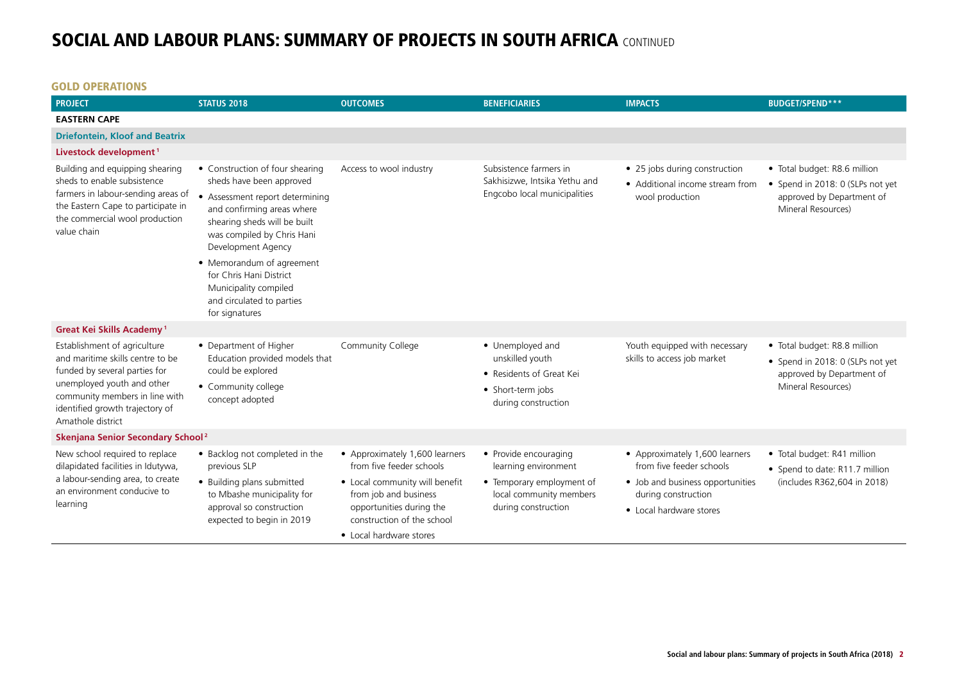• Local hardware stores

#### GOLD OPERATIONS

| <b>PROJECT</b>                                                                                                                                                                                                            | <b>STATUS 2018</b>                                                                                                                                                                                                                                                                                                                               | <b>OUTCOMES</b>                                                                                                                                                                 | <b>BENEFICIARIES</b>                                                                                                         | <b>IMPACTS</b>                                                                                                                                   | <b>BUDGET/SPEND***</b>                                                                                              |  |  |
|---------------------------------------------------------------------------------------------------------------------------------------------------------------------------------------------------------------------------|--------------------------------------------------------------------------------------------------------------------------------------------------------------------------------------------------------------------------------------------------------------------------------------------------------------------------------------------------|---------------------------------------------------------------------------------------------------------------------------------------------------------------------------------|------------------------------------------------------------------------------------------------------------------------------|--------------------------------------------------------------------------------------------------------------------------------------------------|---------------------------------------------------------------------------------------------------------------------|--|--|
| <b>EASTERN CAPE</b>                                                                                                                                                                                                       |                                                                                                                                                                                                                                                                                                                                                  |                                                                                                                                                                                 |                                                                                                                              |                                                                                                                                                  |                                                                                                                     |  |  |
| <b>Driefontein, Kloof and Beatrix</b>                                                                                                                                                                                     |                                                                                                                                                                                                                                                                                                                                                  |                                                                                                                                                                                 |                                                                                                                              |                                                                                                                                                  |                                                                                                                     |  |  |
| Livestock development <sup>1</sup>                                                                                                                                                                                        |                                                                                                                                                                                                                                                                                                                                                  |                                                                                                                                                                                 |                                                                                                                              |                                                                                                                                                  |                                                                                                                     |  |  |
| Building and equipping shearing<br>sheds to enable subsistence<br>farmers in labour-sending areas of<br>the Eastern Cape to participate in<br>the commercial wool production<br>value chain                               | • Construction of four shearing<br>sheds have been approved<br>• Assessment report determining<br>and confirming areas where<br>shearing sheds will be built<br>was compiled by Chris Hani<br>Development Agency<br>• Memorandum of agreement<br>for Chris Hani District<br>Municipality compiled<br>and circulated to parties<br>for signatures | Access to wool industry                                                                                                                                                         | Subsistence farmers in<br>Sakhisizwe, Intsika Yethu and<br>Engcobo local municipalities                                      | • 25 jobs during construction<br>• Additional income stream from<br>wool production                                                              | • Total budget: R8.6 million<br>• Spend in 2018: 0 (SLPs not yet<br>approved by Department of<br>Mineral Resources) |  |  |
| <b>Great Kei Skills Academy<sup>1</sup></b>                                                                                                                                                                               |                                                                                                                                                                                                                                                                                                                                                  |                                                                                                                                                                                 |                                                                                                                              |                                                                                                                                                  |                                                                                                                     |  |  |
| Establishment of agriculture<br>and maritime skills centre to be<br>funded by several parties for<br>unemployed youth and other<br>community members in line with<br>identified growth trajectory of<br>Amathole district | • Department of Higher<br>Education provided models that<br>could be explored<br>• Community college<br>concept adopted                                                                                                                                                                                                                          | Community College                                                                                                                                                               | • Unemployed and<br>unskilled youth<br>• Residents of Great Kei<br>• Short-term jobs<br>during construction                  | Youth equipped with necessary<br>skills to access job market                                                                                     | · Total budget: R8.8 million<br>• Spend in 2018: 0 (SLPs not yet<br>approved by Department of<br>Mineral Resources) |  |  |
| Skenjana Senior Secondary School <sup>2</sup>                                                                                                                                                                             |                                                                                                                                                                                                                                                                                                                                                  |                                                                                                                                                                                 |                                                                                                                              |                                                                                                                                                  |                                                                                                                     |  |  |
| New school required to replace<br>dilapidated facilities in Idutywa,<br>a labour-sending area, to create<br>an environment conducive to<br>learning                                                                       | • Backlog not completed in the<br>previous SLP<br>• Building plans submitted<br>to Mbashe municipality for<br>approval so construction<br>expected to begin in 2019                                                                                                                                                                              | • Approximately 1,600 learners<br>from five feeder schools<br>• Local community will benefit<br>from job and business<br>opportunities during the<br>construction of the school | • Provide encouraging<br>learning environment<br>• Temporary employment of<br>local community members<br>during construction | • Approximately 1,600 learners<br>from five feeder schools<br>• Job and business opportunities<br>during construction<br>• Local hardware stores | • Total budget: R41 million<br>• Spend to date: R11.7 million<br>(includes R362,604 in 2018)                        |  |  |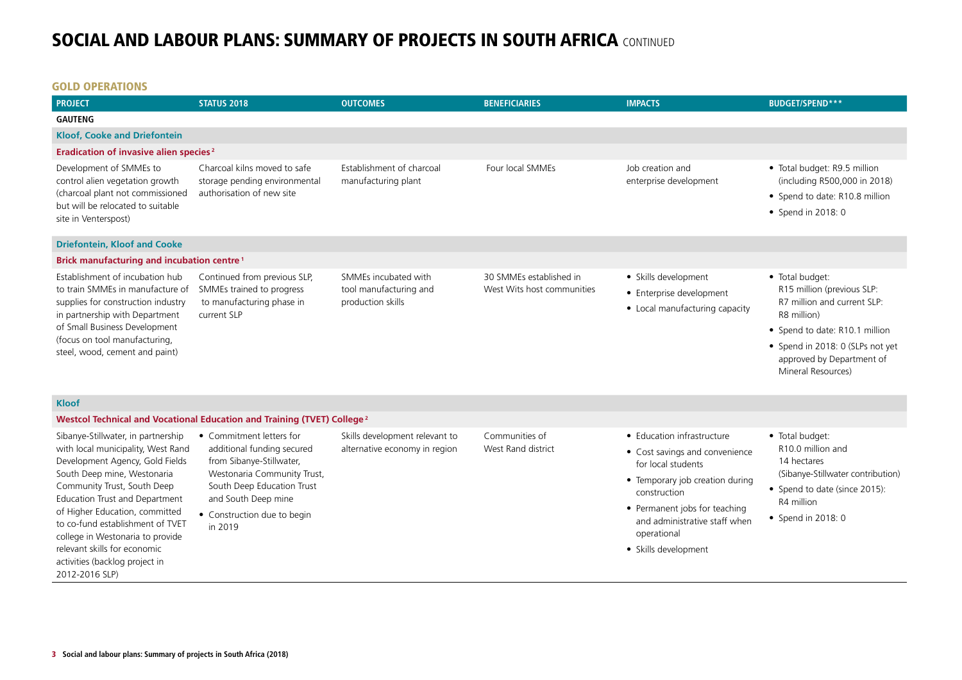### GOLD OPERATIONS

| <b>PROJECT</b>                                                                                                                                                                                                                                                                                                                                                                                            | <b>STATUS 2018</b>                                                                                                                                                                                               | <b>OUTCOMES</b>                                                     | <b>BENEFICIARIES</b>                                  | <b>IMPACTS</b>                                                                                                                                                                                                                                 | <b>BUDGET/SPEND***</b>                                                                                                                                                                                               |
|-----------------------------------------------------------------------------------------------------------------------------------------------------------------------------------------------------------------------------------------------------------------------------------------------------------------------------------------------------------------------------------------------------------|------------------------------------------------------------------------------------------------------------------------------------------------------------------------------------------------------------------|---------------------------------------------------------------------|-------------------------------------------------------|------------------------------------------------------------------------------------------------------------------------------------------------------------------------------------------------------------------------------------------------|----------------------------------------------------------------------------------------------------------------------------------------------------------------------------------------------------------------------|
| <b>GAUTENG</b>                                                                                                                                                                                                                                                                                                                                                                                            |                                                                                                                                                                                                                  |                                                                     |                                                       |                                                                                                                                                                                                                                                |                                                                                                                                                                                                                      |
| <b>Kloof, Cooke and Driefontein</b>                                                                                                                                                                                                                                                                                                                                                                       |                                                                                                                                                                                                                  |                                                                     |                                                       |                                                                                                                                                                                                                                                |                                                                                                                                                                                                                      |
| Eradication of invasive alien species <sup>2</sup>                                                                                                                                                                                                                                                                                                                                                        |                                                                                                                                                                                                                  |                                                                     |                                                       |                                                                                                                                                                                                                                                |                                                                                                                                                                                                                      |
| Development of SMMEs to<br>control alien vegetation growth<br>(charcoal plant not commissioned<br>but will be relocated to suitable<br>site in Venterspost)                                                                                                                                                                                                                                               | Charcoal kilns moved to safe<br>storage pending environmental<br>authorisation of new site                                                                                                                       | Establishment of charcoal<br>manufacturing plant                    | Four local SMMEs                                      | Job creation and<br>enterprise development                                                                                                                                                                                                     | • Total budget: R9.5 million<br>(including R500,000 in 2018)<br>• Spend to date: R10.8 million<br>• Spend in 2018: 0                                                                                                 |
| <b>Driefontein, Kloof and Cooke</b>                                                                                                                                                                                                                                                                                                                                                                       |                                                                                                                                                                                                                  |                                                                     |                                                       |                                                                                                                                                                                                                                                |                                                                                                                                                                                                                      |
| <b>Brick manufacturing and incubation centre<sup>1</sup></b>                                                                                                                                                                                                                                                                                                                                              |                                                                                                                                                                                                                  |                                                                     |                                                       |                                                                                                                                                                                                                                                |                                                                                                                                                                                                                      |
| Establishment of incubation hub<br>to train SMMEs in manufacture of<br>supplies for construction industry<br>in partnership with Department<br>of Small Business Development<br>(focus on tool manufacturing,<br>steel, wood, cement and paint)                                                                                                                                                           | Continued from previous SLP,<br>SMMEs trained to progress<br>to manufacturing phase in<br>current SLP                                                                                                            | SMMEs incubated with<br>tool manufacturing and<br>production skills | 30 SMMEs established in<br>West Wits host communities | • Skills development<br>• Enterprise development<br>• Local manufacturing capacity                                                                                                                                                             | • Total budget:<br>R15 million (previous SLP:<br>R7 million and current SLP:<br>R8 million)<br>• Spend to date: R10.1 million<br>• Spend in 2018: 0 (SLPs not yet<br>approved by Department of<br>Mineral Resources) |
| <b>Kloof</b>                                                                                                                                                                                                                                                                                                                                                                                              |                                                                                                                                                                                                                  |                                                                     |                                                       |                                                                                                                                                                                                                                                |                                                                                                                                                                                                                      |
|                                                                                                                                                                                                                                                                                                                                                                                                           | Westcol Technical and Vocational Education and Training (TVET) College <sup>2</sup>                                                                                                                              |                                                                     |                                                       |                                                                                                                                                                                                                                                |                                                                                                                                                                                                                      |
| Sibanye-Stillwater, in partnership<br>with local municipality, West Rand<br>Development Agency, Gold Fields<br>South Deep mine, Westonaria<br>Community Trust, South Deep<br>Education Trust and Department<br>of Higher Education, committed<br>to co-fund establishment of TVET<br>college in Westonaria to provide<br>relevant skills for economic<br>activities (backlog project in<br>2012-2016 SLP) | • Commitment letters for<br>additional funding secured<br>from Sibanye-Stillwater,<br>Westonaria Community Trust,<br>South Deep Education Trust<br>and South Deep mine<br>• Construction due to begin<br>in 2019 | Skills development relevant to<br>alternative economy in region     | Communities of<br>West Rand district                  | • Education infrastructure<br>• Cost savings and convenience<br>for local students<br>• Temporary job creation during<br>construction<br>• Permanent jobs for teaching<br>and administrative staff when<br>operational<br>• Skills development | · Total budget:<br>R10.0 million and<br>14 hectares<br>(Sibanye-Stillwater contribution)<br>• Spend to date (since 2015):<br>R4 million<br>• Spend in 2018: 0                                                        |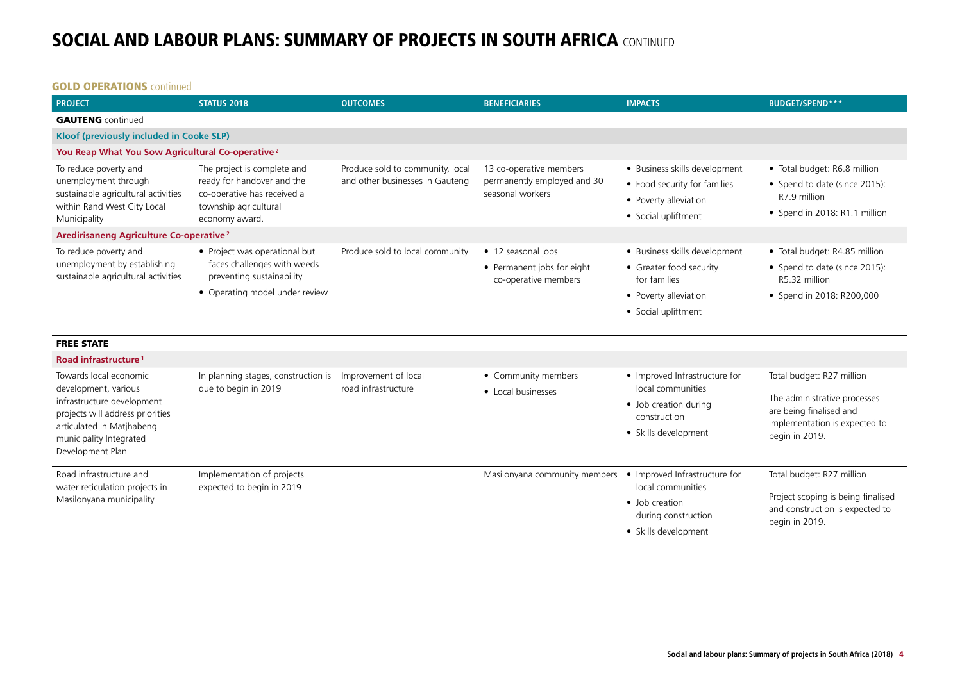#### **GOLD OPERATIONS** continued

| <b>PROJECT</b>                                                                                                                                                                               | <b>STATUS 2018</b>                                                                                                                  | <b>OUTCOMES</b>                                                     | <b>BENEFICIARIES</b>                                                       | <b>IMPACTS</b>                                                                                                           | <b>BUDGET/SPEND***</b>                                                                                                                  |
|----------------------------------------------------------------------------------------------------------------------------------------------------------------------------------------------|-------------------------------------------------------------------------------------------------------------------------------------|---------------------------------------------------------------------|----------------------------------------------------------------------------|--------------------------------------------------------------------------------------------------------------------------|-----------------------------------------------------------------------------------------------------------------------------------------|
| <b>GAUTENG</b> continued                                                                                                                                                                     |                                                                                                                                     |                                                                     |                                                                            |                                                                                                                          |                                                                                                                                         |
| Kloof (previously included in Cooke SLP)                                                                                                                                                     |                                                                                                                                     |                                                                     |                                                                            |                                                                                                                          |                                                                                                                                         |
| You Reap What You Sow Agricultural Co-operative <sup>2</sup>                                                                                                                                 |                                                                                                                                     |                                                                     |                                                                            |                                                                                                                          |                                                                                                                                         |
| To reduce poverty and<br>unemployment through<br>sustainable agricultural activities<br>within Rand West City Local<br>Municipality                                                          | The project is complete and<br>ready for handover and the<br>co-operative has received a<br>township agricultural<br>economy award. | Produce sold to community, local<br>and other businesses in Gauteng | 13 co-operative members<br>permanently employed and 30<br>seasonal workers | • Business skills development<br>• Food security for families<br>• Poverty alleviation<br>• Social upliftment            | • Total budget: R6.8 million<br>• Spend to date (since 2015):<br>R7.9 million<br>• Spend in 2018: R1.1 million                          |
| Aredirisaneng Agriculture Co-operative <sup>2</sup>                                                                                                                                          |                                                                                                                                     |                                                                     |                                                                            |                                                                                                                          |                                                                                                                                         |
| To reduce poverty and<br>unemployment by establishing<br>sustainable agricultural activities                                                                                                 | • Project was operational but<br>faces challenges with weeds<br>preventing sustainability<br>• Operating model under review         | Produce sold to local community                                     | • 12 seasonal jobs<br>• Permanent jobs for eight<br>co-operative members   | • Business skills development<br>• Greater food security<br>for families<br>• Poverty alleviation<br>• Social upliftment | • Total budget: R4.85 million<br>• Spend to date (since 2015):<br>R5.32 million<br>• Spend in 2018: R200,000                            |
| <b>FREE STATE</b>                                                                                                                                                                            |                                                                                                                                     |                                                                     |                                                                            |                                                                                                                          |                                                                                                                                         |
| Road infrastructure <sup>1</sup>                                                                                                                                                             |                                                                                                                                     |                                                                     |                                                                            |                                                                                                                          |                                                                                                                                         |
| Towards local economic<br>development, various<br>infrastructure development<br>projects will address priorities<br>articulated in Matjhabeng<br>municipality Integrated<br>Development Plan | In planning stages, construction is<br>due to begin in 2019                                                                         | Improvement of local<br>road infrastructure                         | • Community members<br>• Local businesses                                  | • Improved Infrastructure for<br>local communities<br>• Job creation during<br>construction<br>• Skills development      | Total budget: R27 million<br>The administrative processes<br>are being finalised and<br>implementation is expected to<br>begin in 2019. |
| Road infrastructure and<br>water reticulation projects in<br>Masilonyana municipality                                                                                                        | Implementation of projects<br>expected to begin in 2019                                                                             |                                                                     | Masilonyana community members                                              | • Improved Infrastructure for<br>local communities<br>• Job creation<br>during construction<br>• Skills development      | Total budget: R27 million<br>Project scoping is being finalised<br>and construction is expected to<br>begin in 2019.                    |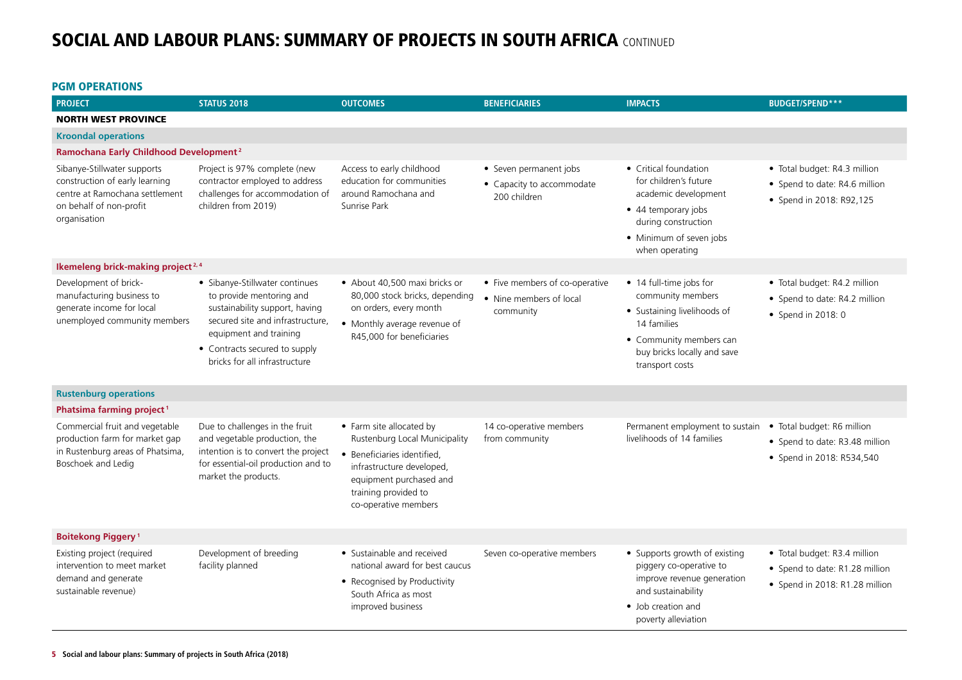### PGM OPERATIONS

| <b>PROJECT</b>                                                                                                                             | <b>STATUS 2018</b>                                                                                                                                                                                                           | <b>OUTCOMES</b>                                                                                                                                                                                  | <b>BENEFICIARIES</b>                                                   | <b>IMPACTS</b>                                                                                                                                                          | <b>BUDGET/SPEND***</b>                                                                           |  |
|--------------------------------------------------------------------------------------------------------------------------------------------|------------------------------------------------------------------------------------------------------------------------------------------------------------------------------------------------------------------------------|--------------------------------------------------------------------------------------------------------------------------------------------------------------------------------------------------|------------------------------------------------------------------------|-------------------------------------------------------------------------------------------------------------------------------------------------------------------------|--------------------------------------------------------------------------------------------------|--|
| <b>NORTH WEST PROVINCE</b>                                                                                                                 |                                                                                                                                                                                                                              |                                                                                                                                                                                                  |                                                                        |                                                                                                                                                                         |                                                                                                  |  |
| <b>Kroondal operations</b>                                                                                                                 |                                                                                                                                                                                                                              |                                                                                                                                                                                                  |                                                                        |                                                                                                                                                                         |                                                                                                  |  |
| Ramochana Early Childhood Development <sup>2</sup>                                                                                         |                                                                                                                                                                                                                              |                                                                                                                                                                                                  |                                                                        |                                                                                                                                                                         |                                                                                                  |  |
| Sibanye-Stillwater supports<br>construction of early learning<br>centre at Ramochana settlement<br>on behalf of non-profit<br>organisation | Project is 97% complete (new<br>contractor employed to address<br>challenges for accommodation of<br>children from 2019)                                                                                                     | Access to early childhood<br>education for communities<br>around Ramochana and<br>Sunrise Park                                                                                                   | • Seven permanent jobs<br>• Capacity to accommodate<br>200 children    | • Critical foundation<br>for children's future<br>academic development<br>• 44 temporary jobs<br>during construction<br>• Minimum of seven jobs<br>when operating       | · Total budget: R4.3 million<br>• Spend to date: R4.6 million<br>• Spend in 2018: R92,125        |  |
| Ikemeleng brick-making project <sup>2,4</sup>                                                                                              |                                                                                                                                                                                                                              |                                                                                                                                                                                                  |                                                                        |                                                                                                                                                                         |                                                                                                  |  |
| Development of brick-<br>manufacturing business to<br>generate income for local<br>unemployed community members                            | · Sibanye-Stillwater continues<br>to provide mentoring and<br>sustainability support, having<br>secured site and infrastructure,<br>equipment and training<br>• Contracts secured to supply<br>bricks for all infrastructure | • About 40,500 maxi bricks or<br>80,000 stock bricks, depending<br>on orders, every month<br>• Monthly average revenue of<br>R45,000 for beneficiaries                                           | • Five members of co-operative<br>• Nine members of local<br>community | • 14 full-time jobs for<br>community members<br>• Sustaining livelihoods of<br>14 families<br>• Community members can<br>buy bricks locally and save<br>transport costs | · Total budget: R4.2 million<br>• Spend to date: R4.2 million<br>• Spend in 2018: 0              |  |
| <b>Rustenburg operations</b>                                                                                                               |                                                                                                                                                                                                                              |                                                                                                                                                                                                  |                                                                        |                                                                                                                                                                         |                                                                                                  |  |
| Phatsima farming project <sup>1</sup>                                                                                                      |                                                                                                                                                                                                                              |                                                                                                                                                                                                  |                                                                        |                                                                                                                                                                         |                                                                                                  |  |
| Commercial fruit and vegetable<br>production farm for market gap<br>in Rustenburg areas of Phatsima,<br>Boschoek and Ledig                 | Due to challenges in the fruit<br>and vegetable production, the<br>intention is to convert the project<br>for essential-oil production and to<br>market the products.                                                        | • Farm site allocated by<br>Rustenburg Local Municipality<br>· Beneficiaries identified,<br>infrastructure developed,<br>equipment purchased and<br>training provided to<br>co-operative members | 14 co-operative members<br>from community                              | Permanent employment to sustain<br>livelihoods of 14 families                                                                                                           | · Total budget: R6 million<br>• Spend to date: R3.48 million<br>• Spend in 2018: R534,540        |  |
| <b>Boitekong Piggery<sup>1</sup></b>                                                                                                       |                                                                                                                                                                                                                              |                                                                                                                                                                                                  |                                                                        |                                                                                                                                                                         |                                                                                                  |  |
| Existing project (required<br>intervention to meet market<br>demand and generate<br>sustainable revenue)                                   | Development of breeding<br>facility planned                                                                                                                                                                                  | • Sustainable and received<br>national award for best caucus<br>• Recognised by Productivity<br>South Africa as most<br>improved business                                                        | Seven co-operative members                                             | • Supports growth of existing<br>piggery co-operative to<br>improve revenue generation<br>and sustainability<br>• Job creation and<br>poverty alleviation               | · Total budget: R3.4 million<br>• Spend to date: R1.28 million<br>• Spend in 2018: R1.28 million |  |